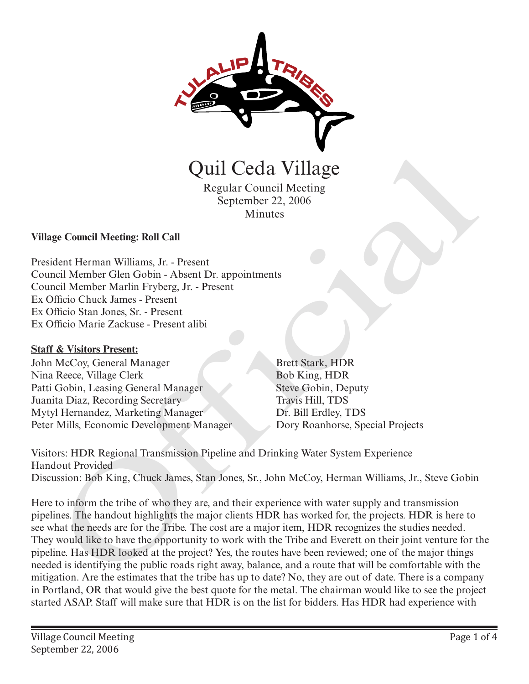

Quil Ceda Village

Regular Council Meeting September 22, 2006 Minutes

**Village Council Meeting: Roll Call** 

President Herman Williams, Jr. - Present Council Member Glen Gobin - Absent Dr. appointments Council Member Marlin Fryberg, Jr. - Present Ex Officio Chuck James - Present Ex Officio Stan Jones, Sr. - Present Ex Officio Marie Zackuse - Present alibi

# **Staff & Visitors Present:**

John McCoy, General Manager Nina Reece, Village Clerk Patti Gobin, Leasing General Manager Juanita Diaz, Recording Secretary Mytyl Hernandez, Marketing Manager Peter Mills, Economic Development Manager

Brett Stark, HDR Bob King, HDR Steve Gobin, Deputy Travis Hill, TDS Dr. Bill Erdley, TDS

Visitors: HDR Regional Transmission Pipeline and Drinking Water System Experience Handout Provided Discussion: Bob King, Chuck James, Stan Jones, Sr., John McCoy, Herman Williams, Jr., Steve Gobin

Here to inform the tribe of who they are, and their experience with water supply and transmission pipelines. The handout highlights the major clients HDR has worked for, the projects. HDR is here to see what the needs are for the Tribe. The cost are a major item, HDR recognizes the studies needed. They would like to have the opportunity to work with the Tribe and Everett on their joint venture for the pipeline. Has HDR looked at the project? Yes, the routes have been reviewed; one of the major things needed is identifying the public roads right away, balance, and a route that will be comfortable with the mitigation. Are the estimates that the tribe has up to date? No, they are out of date. There is a company in Portland, OR that would give the best quote for the metal. The chairman would like to see the project started ASAP. Staff will make sure that HDR is on the list for bidders. Has HDR had experience with **Call Cedia Village**<br>
Regular Council Meeting<br>
September 22, 2006<br>
Minutes<br>
Regular Council Meeting<br>
Reduce Marin Fryberg, *H*. Present<br>
Indice Cher Gein Gobin - Absent Dr. appointments<br>
Proficies Official Member Clen Gobi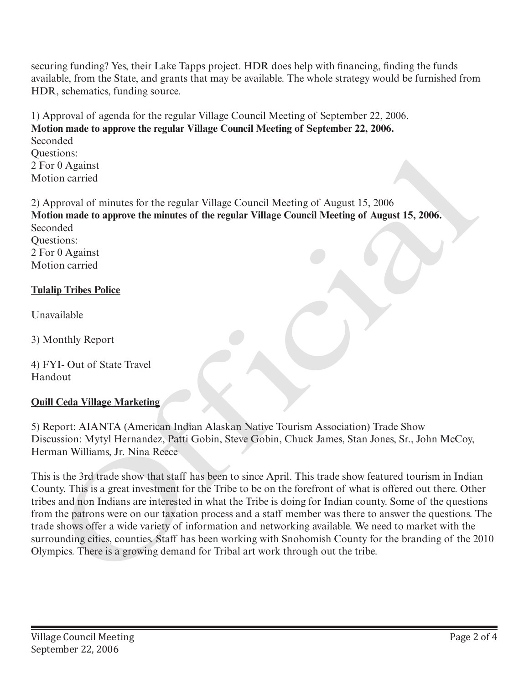securing funding? Yes, their Lake Tapps project. HDR does help with financing, finding the funds available, from the State, and grants that may be available. The whole strategy would be furnished from HDR, schematics, funding source.

1) Approval of agenda for the regular Village Council Meeting of September 22, 2006. **Motion made to approve the regular Village Council Meeting of September 22, 2006.** Seconded Questions: 2 For 0 Against Motion carried

2) Approval of minutes for the regular Village Council Meeting of August 15, 2006 **Motion made to approve the minutes of the regular Village Council Meeting of August 15, 2006.** Seconded Questions: 2 For 0 Against Motion carried

### **Tulalip Tribes Police**

Unavailable

3) Monthly Report

4) FYI- Out of State Travel Handout

# **Quill Ceda Village Marketing**

5) Report: AIANTA (American Indian Alaskan Native Tourism Association) Trade Show Discussion: Mytyl Hernandez, Patti Gobin, Steve Gobin, Chuck James, Stan Jones, Sr., John McCoy, Herman Williams, Jr. Nina Reece

This is the 3rd trade show that staff has been to since April. This trade show featured tourism in Indian County. This is a great investment for the Tribe to be on the forefront of what is offered out there. Other tribes and non Indians are interested in what the Tribe is doing for Indian county. Some of the questions from the patrons were on our taxation process and a staff member was there to answer the questions. The trade shows offer a wide variety of information and networking available. We need to market with the surrounding cities, counties. Staff has been working with Snohomish County for the branding of the 2010 Questions:<br>
2) For 0 Against<br>
2) For 0 Against<br>
Motion carried<br>
Motion carried<br>
Motion and comprone the minutes of the regular Village Council Meeting of August 15, 2006.<br>
Seconded<br>
Seconded<br>
Out Motion carried<br>
Thalip Tri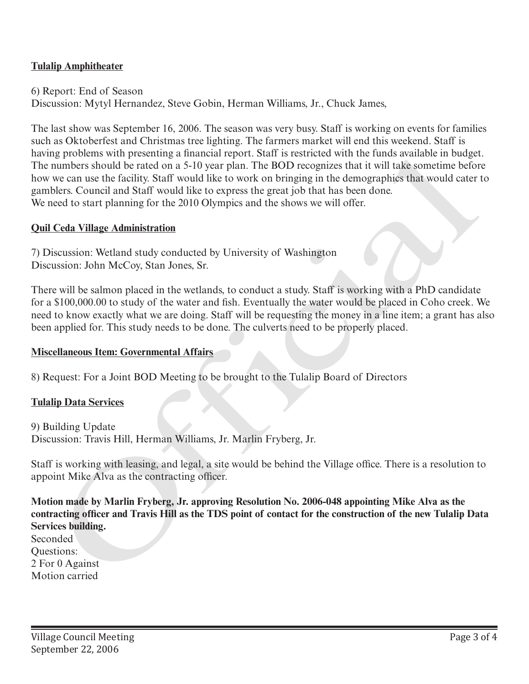# **Tulalip Amphitheater**

6) Report: End of Season Discussion: Mytyl Hernandez, Steve Gobin, Herman Williams, Jr., Chuck James,

The last show was September 16, 2006. The season was very busy. Staff is working on events for families such as Oktoberfest and Christmas tree lighting. The farmers market will end this weekend. Staff is having problems with presenting a financial report. Staff is restricted with the funds available in budget. The numbers should be rated on a 5-10 year plan. The BOD recognizes that it will take sometime before how we can use the facility. Staff would like to work on bringing in the demographics that would cater to gamblers. Council and Staff would like to express the great job that has been done. We need to start planning for the 2010 Olympics and the shows we will offer. naving provisions with presenting a manneal report. Sara is restricted with the funda swalable in one<br>going to the carrier of the control of the street of the street of the street of the system below<br>the carrier scanner is

#### **Quil Ceda Village Administration**

7) Discussion: Wetland study conducted by University of Washington Discussion: John McCoy, Stan Jones, Sr.

There will be salmon placed in the wetlands, to conduct a study. Staff is working with a PhD candidate for a \$100,000.00 to study of the water and fish. Eventually the water would be placed in Coho creek. We need to know exactly what we are doing. Staff will be requesting the money in a line item; a grant has also been applied for. This study needs to be done. The culverts need to be properly placed.

#### **Miscellaneous Item: Governmental Affairs**

8) Request: For a Joint BOD Meeting to be brought to the Tulalip Board of Directors

#### **Tulalip Data Services**

9) Building Update Discussion: Travis Hill, Herman Williams, Jr. Marlin Fryberg, Jr.

Staff is working with leasing, and legal, a site would be behind the Village office. There is a resolution to appoint Mike Alva as the contracting officer.

**Motion made by Marlin Fryberg, Jr. approving Resolution No. 2006-048 appointing Mike Alva as the contracting officer and Travis Hill as the TDS point of contact for the construction of the new Tulalip Data Services building.**

**Seconded** Questions: 2 For 0 Against